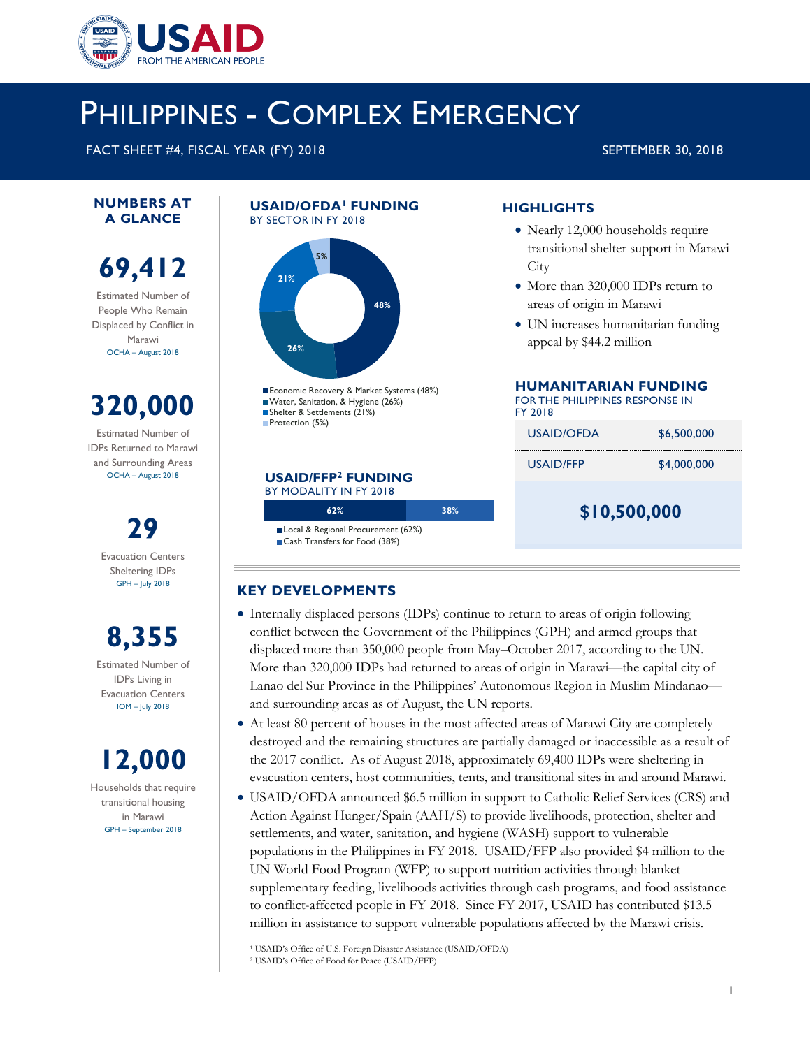

# PHILIPPINES - COMPLEX EMERGENCY

FACT SHEET #4, FISCAL YEAR (FY) 2018 SEPTEMBER 30, 2018

#### **NUMBERS AT A GLANCE**

## **69,412**

Estimated Number of People Who Remain Displaced by Conflict in Marawi OCHA – August 2018

# **320,000**

Estimated Number of IDPs Returned to Marawi and Surrounding Areas OCHA – August 2018

> **29**  Evacuation Centers Sheltering IDPs GPH – July 2018

**8,355**  Estimated Number of IDPs Living in Evacuation Centers IOM – July 2018

# **12,000**

Households that require transitional housing in Marawi GPH – September 2018

#### **USAID/OFDA1 FUNDING**  BY SECTOR IN FY 2018



Economic Recovery & Market Systems (48%) Water, Sanitation, & Hygiene (26%) Shelter & Settlements (21%) Protection (5%)

#### **USAID/FFP2 FUNDING**

BY MODALITY IN FY 2018

Local & Regional Procurement (62%) Cash Transfers for Food (38%)

**62% 38%** 

#### **HIGHLIGHTS**

- Nearly 12,000 households require transitional shelter support in Marawi **City**
- More than 320,000 IDPs return to areas of origin in Marawi
- UN increases humanitarian funding appeal by \$44.2 million

#### **HUMANITARIAN FUNDING**

FOR THE PHILIPPINES RESPONSE IN FY 2018

| \$10,500,000 |             |  |  |
|--------------|-------------|--|--|
| USAID/FFP    | \$4,000,000 |  |  |
| USAID/OFDA   | \$6.500,000 |  |  |

#### **KEY DEVELOPMENTS**

- Internally displaced persons (IDPs) continue to return to areas of origin following conflict between the Government of the Philippines (GPH) and armed groups that displaced more than 350,000 people from May–October 2017, according to the UN. More than 320,000 IDPs had returned to areas of origin in Marawi—the capital city of Lanao del Sur Province in the Philippines' Autonomous Region in Muslim Mindanao and surrounding areas as of August, the UN reports.
- At least 80 percent of houses in the most affected areas of Marawi City are completely destroyed and the remaining structures are partially damaged or inaccessible as a result of the 2017 conflict. As of August 2018, approximately 69,400 IDPs were sheltering in evacuation centers, host communities, tents, and transitional sites in and around Marawi.
- USAID/OFDA announced \$6.5 million in support to Catholic Relief Services (CRS) and Action Against Hunger/Spain (AAH/S) to provide livelihoods, protection, shelter and settlements, and water, sanitation, and hygiene (WASH) support to vulnerable populations in the Philippines in FY 2018. USAID/FFP also provided \$4 million to the UN World Food Program (WFP) to support nutrition activities through blanket supplementary feeding, livelihoods activities through cash programs, and food assistance to conflict-affected people in FY 2018. Since FY 2017, USAID has contributed \$13.5 million in assistance to support vulnerable populations affected by the Marawi crisis.

<sup>1</sup> USAID's Office of U.S. Foreign Disaster Assistance (USAID/OFDA) <sup>2</sup> USAID's Office of Food for Peace (USAID/FFP)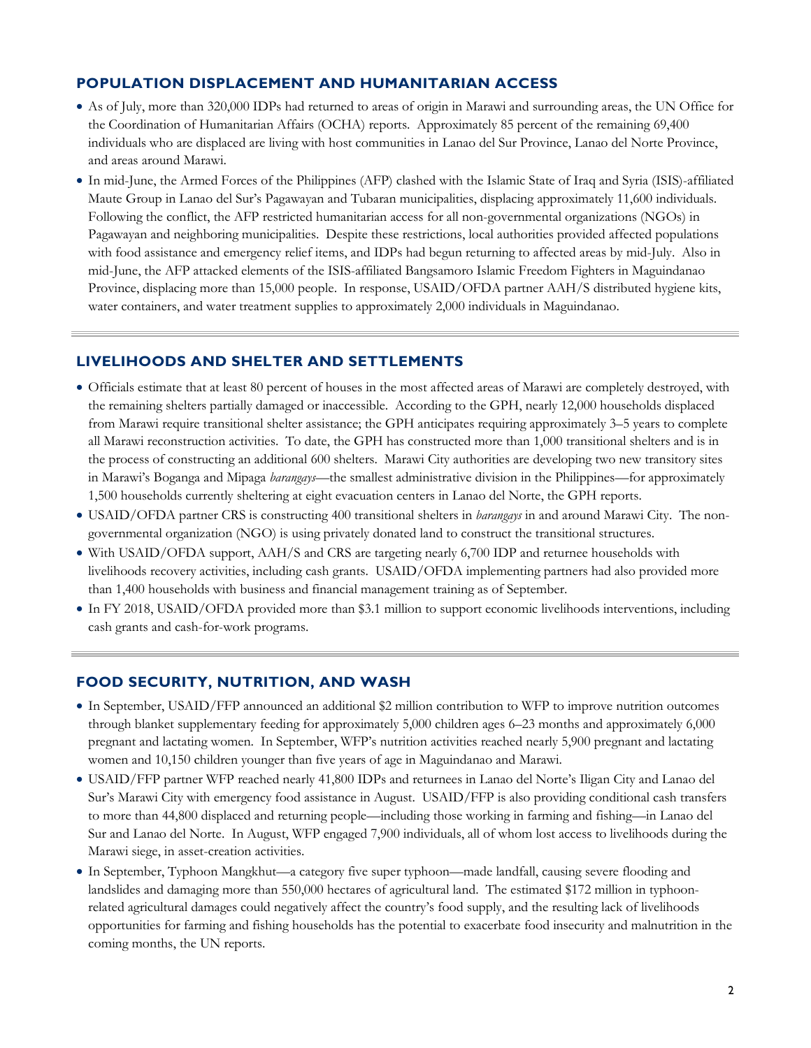#### **POPULATION DISPLACEMENT AND HUMANITARIAN ACCESS**

- As of July, more than 320,000 IDPs had returned to areas of origin in Marawi and surrounding areas, the UN Office for the Coordination of Humanitarian Affairs (OCHA) reports. Approximately 85 percent of the remaining 69,400 individuals who are displaced are living with host communities in Lanao del Sur Province, Lanao del Norte Province, and areas around Marawi.
- In mid-June, the Armed Forces of the Philippines (AFP) clashed with the Islamic State of Iraq and Syria (ISIS)-affiliated Maute Group in Lanao del Sur's Pagawayan and Tubaran municipalities, displacing approximately 11,600 individuals. Following the conflict, the AFP restricted humanitarian access for all non-governmental organizations (NGOs) in Pagawayan and neighboring municipalities. Despite these restrictions, local authorities provided affected populations with food assistance and emergency relief items, and IDPs had begun returning to affected areas by mid-July. Also in mid-June, the AFP attacked elements of the ISIS-affiliated Bangsamoro Islamic Freedom Fighters in Maguindanao Province, displacing more than 15,000 people. In response, USAID/OFDA partner AAH/S distributed hygiene kits, water containers, and water treatment supplies to approximately 2,000 individuals in Maguindanao.

#### **LIVELIHOODS AND SHELTER AND SETTLEMENTS**

- Officials estimate that at least 80 percent of houses in the most affected areas of Marawi are completely destroyed, with the remaining shelters partially damaged or inaccessible. According to the GPH, nearly 12,000 households displaced from Marawi require transitional shelter assistance; the GPH anticipates requiring approximately 3–5 years to complete all Marawi reconstruction activities. To date, the GPH has constructed more than 1,000 transitional shelters and is in the process of constructing an additional 600 shelters. Marawi City authorities are developing two new transitory sites in Marawi's Boganga and Mipaga *barangays*—the smallest administrative division in the Philippines—for approximately 1,500 households currently sheltering at eight evacuation centers in Lanao del Norte, the GPH reports.
- USAID/OFDA partner CRS is constructing 400 transitional shelters in *barangays* in and around Marawi City. The nongovernmental organization (NGO) is using privately donated land to construct the transitional structures.
- With USAID/OFDA support, AAH/S and CRS are targeting nearly 6,700 IDP and returnee households with livelihoods recovery activities, including cash grants. USAID/OFDA implementing partners had also provided more than 1,400 households with business and financial management training as of September.
- In FY 2018, USAID/OFDA provided more than \$3.1 million to support economic livelihoods interventions, including cash grants and cash-for-work programs.

#### **FOOD SECURITY, NUTRITION, AND WASH**

- In September, USAID/FFP announced an additional \$2 million contribution to WFP to improve nutrition outcomes through blanket supplementary feeding for approximately 5,000 children ages 6–23 months and approximately 6,000 pregnant and lactating women. In September, WFP's nutrition activities reached nearly 5,900 pregnant and lactating women and 10,150 children younger than five years of age in Maguindanao and Marawi.
- USAID/FFP partner WFP reached nearly 41,800 IDPs and returnees in Lanao del Norte's Iligan City and Lanao del Sur's Marawi City with emergency food assistance in August. USAID/FFP is also providing conditional cash transfers to more than 44,800 displaced and returning people—including those working in farming and fishing—in Lanao del Sur and Lanao del Norte. In August, WFP engaged 7,900 individuals, all of whom lost access to livelihoods during the Marawi siege, in asset-creation activities.
- In September, Typhoon Mangkhut—a category five super typhoon—made landfall, causing severe flooding and landslides and damaging more than 550,000 hectares of agricultural land. The estimated \$172 million in typhoonrelated agricultural damages could negatively affect the country's food supply, and the resulting lack of livelihoods opportunities for farming and fishing households has the potential to exacerbate food insecurity and malnutrition in the coming months, the UN reports.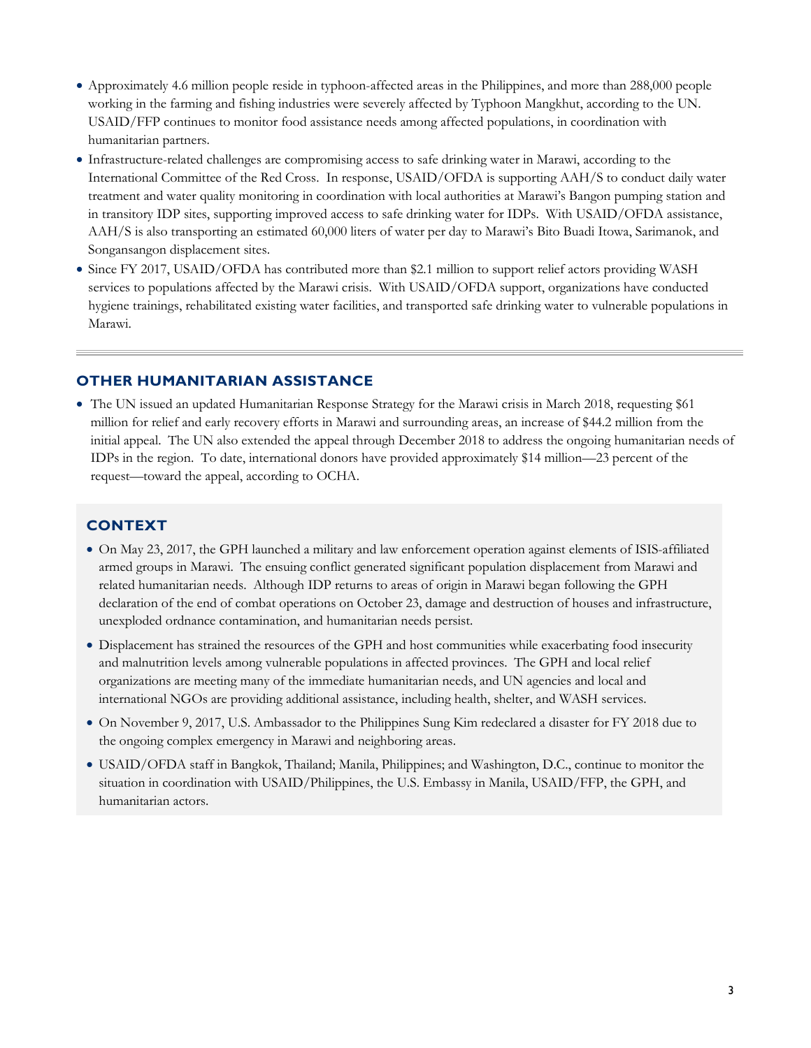- Approximately 4.6 million people reside in typhoon-affected areas in the Philippines, and more than 288,000 people working in the farming and fishing industries were severely affected by Typhoon Mangkhut, according to the UN. USAID/FFP continues to monitor food assistance needs among affected populations, in coordination with humanitarian partners.
- Infrastructure-related challenges are compromising access to safe drinking water in Marawi, according to the International Committee of the Red Cross. In response, USAID/OFDA is supporting AAH/S to conduct daily water treatment and water quality monitoring in coordination with local authorities at Marawi's Bangon pumping station and in transitory IDP sites, supporting improved access to safe drinking water for IDPs. With USAID/OFDA assistance, AAH/S is also transporting an estimated 60,000 liters of water per day to Marawi's Bito Buadi Itowa, Sarimanok, and Songansangon displacement sites.
- Since FY 2017, USAID/OFDA has contributed more than \$2.1 million to support relief actors providing WASH services to populations affected by the Marawi crisis. With USAID/OFDA support, organizations have conducted hygiene trainings, rehabilitated existing water facilities, and transported safe drinking water to vulnerable populations in Marawi.

#### **OTHER HUMANITARIAN ASSISTANCE**

• The UN issued an updated Humanitarian Response Strategy for the Marawi crisis in March 2018, requesting \$61 million for relief and early recovery efforts in Marawi and surrounding areas, an increase of \$44.2 million from the initial appeal. The UN also extended the appeal through December 2018 to address the ongoing humanitarian needs of IDPs in the region. To date, international donors have provided approximately \$14 million—23 percent of the request—toward the appeal, according to OCHA.

### **CONTEXT**

- On May 23, 2017, the GPH launched a military and law enforcement operation against elements of ISIS-affiliated armed groups in Marawi. The ensuing conflict generated significant population displacement from Marawi and related humanitarian needs. Although IDP returns to areas of origin in Marawi began following the GPH declaration of the end of combat operations on October 23, damage and destruction of houses and infrastructure, unexploded ordnance contamination, and humanitarian needs persist.
- Displacement has strained the resources of the GPH and host communities while exacerbating food insecurity and malnutrition levels among vulnerable populations in affected provinces. The GPH and local relief organizations are meeting many of the immediate humanitarian needs, and UN agencies and local and international NGOs are providing additional assistance, including health, shelter, and WASH services.
- On November 9, 2017, U.S. Ambassador to the Philippines Sung Kim redeclared a disaster for FY 2018 due to the ongoing complex emergency in Marawi and neighboring areas.
- USAID/OFDA staff in Bangkok, Thailand; Manila, Philippines; and Washington, D.C., continue to monitor the situation in coordination with USAID/Philippines, the U.S. Embassy in Manila, USAID/FFP, the GPH, and humanitarian actors.